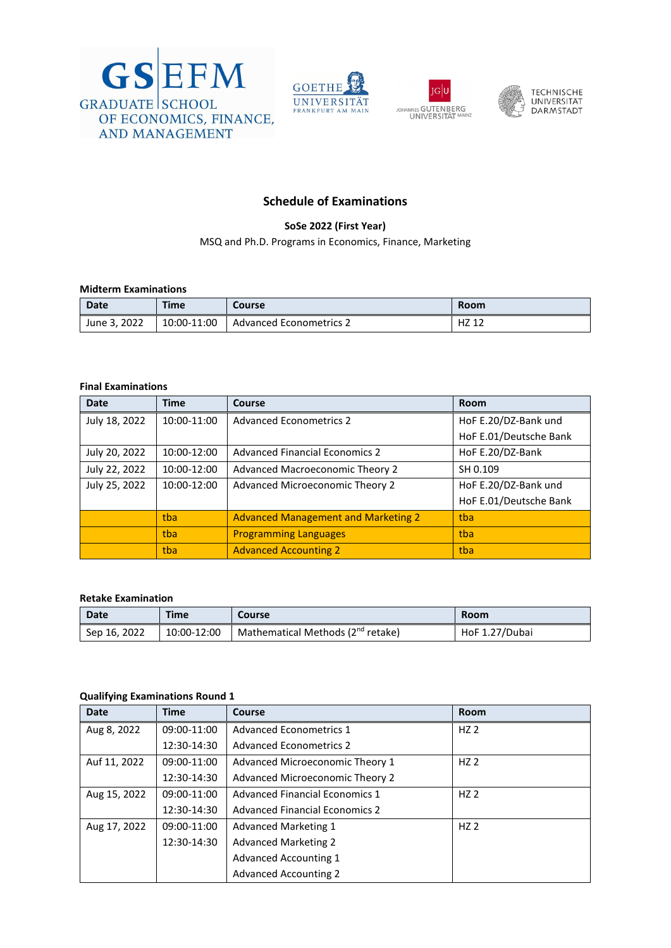







## **Schedule of Examinations**

**SoSe 2022 (First Year)**

MSQ and Ph.D. Programs in Economics, Finance, Marketing

## **Midterm Examinations**

| Date            | <b>Time</b> | Course                         | <b>Room</b> |
|-----------------|-------------|--------------------------------|-------------|
| 2022<br>June 3, | 10:00-11:00 | <b>Advanced Econometrics 2</b> | HZ1         |

#### **Final Examinations**

| <b>Date</b>   | <b>Time</b> | <b>Course</b>                              | Room                   |
|---------------|-------------|--------------------------------------------|------------------------|
| July 18, 2022 | 10:00-11:00 | <b>Advanced Econometrics 2</b>             | HoF E.20/DZ-Bank und   |
|               |             |                                            | HoF E.01/Deutsche Bank |
| July 20, 2022 | 10:00-12:00 | <b>Advanced Financial Economics 2</b>      | HoF E.20/DZ-Bank       |
| July 22, 2022 | 10:00-12:00 | Advanced Macroeconomic Theory 2            | SH 0.109               |
| July 25, 2022 | 10:00-12:00 | Advanced Microeconomic Theory 2            | HoF E.20/DZ-Bank und   |
|               |             |                                            | HoF E.01/Deutsche Bank |
|               | tba         | <b>Advanced Management and Marketing 2</b> | tba                    |
|               | tba         | <b>Programming Languages</b>               | tba                    |
|               | tba         | <b>Advanced Accounting 2</b>               | tba                    |

#### **Retake Examination**

| <b>Date</b>  | <b>Time</b> | Course                                        | Room           |
|--------------|-------------|-----------------------------------------------|----------------|
| Sep 16, 2022 | 10:00-12:00 | Mathematical Methods (2 <sup>nd</sup> retake) | HoF 1.27/Dubai |

### **Qualifying Examinations Round 1**

| <b>Date</b>  | <b>Time</b> | Course                                | <b>Room</b>     |
|--------------|-------------|---------------------------------------|-----------------|
| Aug 8, 2022  | 09:00-11:00 | <b>Advanced Econometrics 1</b>        | HZ <sub>2</sub> |
|              | 12:30-14:30 | <b>Advanced Econometrics 2</b>        |                 |
| Auf 11, 2022 | 09:00-11:00 | Advanced Microeconomic Theory 1       | HZ <sub>2</sub> |
|              | 12:30-14:30 | Advanced Microeconomic Theory 2       |                 |
| Aug 15, 2022 | 09:00-11:00 | <b>Advanced Financial Economics 1</b> | HZ <sub>2</sub> |
|              | 12:30-14:30 | <b>Advanced Financial Economics 2</b> |                 |
| Aug 17, 2022 | 09:00-11:00 | <b>Advanced Marketing 1</b>           | HZ <sub>2</sub> |
|              | 12:30-14:30 | <b>Advanced Marketing 2</b>           |                 |
|              |             | <b>Advanced Accounting 1</b>          |                 |
|              |             | <b>Advanced Accounting 2</b>          |                 |